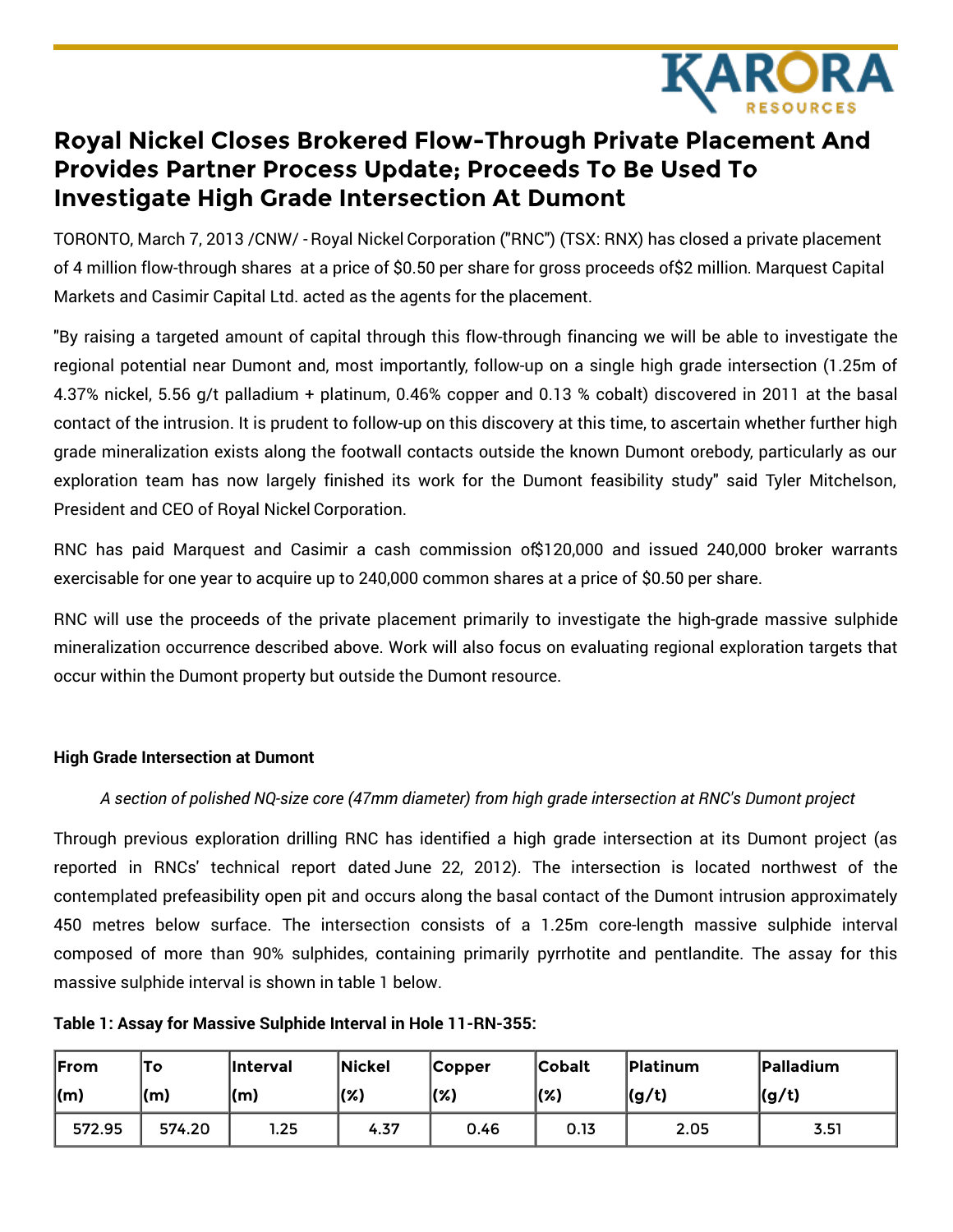

# **Royal Nickel Closes Brokered Flow-Through Private Placement And Provides Partner Process Update; Proceeds To Be Used To Investigate High Grade Intersection At Dumont**

TORONTO, March 7, 2013 /CNW/ - Royal Nickel Corporation ("RNC") (TSX: RNX) has closed a private placement of 4 million flow-through shares at a price of \$0.50 per share for gross proceeds of\$2 million. Marquest Capital Markets and Casimir Capital Ltd. acted as the agents for the placement.

"By raising a targeted amount of capital through this flow-through financing we will be able to investigate the regional potential near Dumont and, most importantly, follow-up on a single high grade intersection (1.25m of 4.37% nickel, 5.56 g/t palladium + platinum, 0.46% copper and 0.13 % cobalt) discovered in 2011 at the basal contact of the intrusion. It is prudent to follow-up on this discovery at this time, to ascertain whether further high grade mineralization exists along the footwall contacts outside the known Dumont orebody, particularly as our exploration team has now largely finished its work for the Dumont feasibility study" said Tyler Mitchelson, President and CEO of Royal Nickel Corporation.

RNC has paid Marquest and Casimir a cash commission of\$120,000 and issued 240,000 broker warrants exercisable for one year to acquire up to 240,000 common shares at a price of \$0.50 per share.

RNC will use the proceeds of the private placement primarily to investigate the high-grade massive sulphide mineralization occurrence described above. Work will also focus on evaluating regional exploration targets that occur within the Dumont property but outside the Dumont resource.

## **High Grade Intersection at Dumont**

# *A section of polished NQ-size core (47mm diameter) from high grade intersection at RNC's Dumont project*

Through previous exploration drilling RNC has identified a high grade intersection at its Dumont project (as reported in RNCs' technical report dated June 22, 2012). The intersection is located northwest of the contemplated prefeasibility open pit and occurs along the basal contact of the Dumont intrusion approximately 450 metres below surface. The intersection consists of a 1.25m core-length massive sulphide interval composed of more than 90% sulphides, containing primarily pyrrhotite and pentlandite. The assay for this massive sulphide interval is shown in table 1 below.

**Table 1: Assay for Massive Sulphide Interval in Hole 11-RN-355:**

| From            | To             | <b>Interval</b> | Nickel  | <b>Copper</b> | <b>Cobalt</b> | <b>Platinum</b> | <b>Palladium</b> |
|-----------------|----------------|-----------------|---------|---------------|---------------|-----------------|------------------|
| $\mathsf{l}(m)$ | $\mathsf{(m)}$ | $\mathsf{l}(m)$ | $(\% )$ | $(\% )$       | (%)           | (g/t)           | (g/t)            |
| 572.95          | 574.20         | .25             | 4.37    | 0.46          | 0.13          | 2.05            | 3.51             |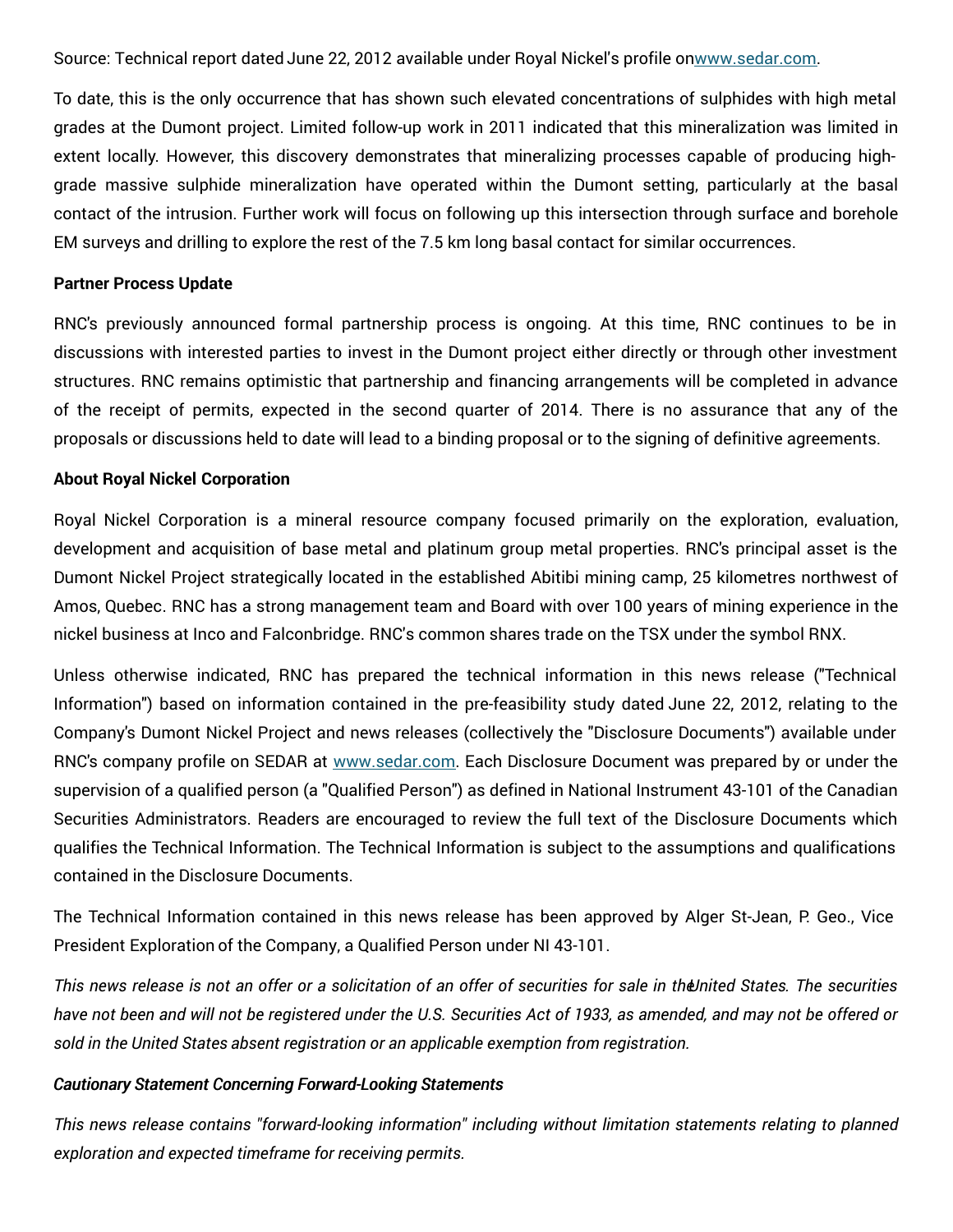Source: Technical report dated June 22, 2012 available under Royal Nickel's profile o[nwww.sedar.com](http://www.sedar.com).

To date, this is the only occurrence that has shown such elevated concentrations of sulphides with high metal grades at the Dumont project. Limited follow-up work in 2011 indicated that this mineralization was limited in extent locally. However, this discovery demonstrates that mineralizing processes capable of producing highgrade massive sulphide mineralization have operated within the Dumont setting, particularly at the basal contact of the intrusion. Further work will focus on following up this intersection through surface and borehole EM surveys and drilling to explore the rest of the 7.5 km long basal contact for similar occurrences.

#### **Partner Process Update**

RNC's previously announced formal partnership process is ongoing. At this time, RNC continues to be in discussions with interested parties to invest in the Dumont project either directly or through other investment structures. RNC remains optimistic that partnership and financing arrangements will be completed in advance of the receipt of permits, expected in the second quarter of 2014. There is no assurance that any of the proposals or discussions held to date will lead to a binding proposal or to the signing of definitive agreements.

#### **About Royal Nickel Corporation**

Royal Nickel Corporation is a mineral resource company focused primarily on the exploration, evaluation, development and acquisition of base metal and platinum group metal properties. RNC's principal asset is the Dumont Nickel Project strategically located in the established Abitibi mining camp, 25 kilometres northwest of Amos, Quebec. RNC has a strong management team and Board with over 100 years of mining experience in the nickel business at Inco and Falconbridge. RNC's common shares trade on the TSX under the symbol RNX.

Unless otherwise indicated, RNC has prepared the technical information in this news release ("Technical Information") based on information contained in the pre-feasibility study dated June 22, 2012, relating to the Company's Dumont Nickel Project and news releases (collectively the "Disclosure Documents") available under RNC's company profile on SEDAR at [www.sedar.com](http://www.sedar.com). Each Disclosure Document was prepared by or under the supervision of a qualified person (a "Qualified Person") as defined in National Instrument 43-101 of the Canadian Securities Administrators. Readers are encouraged to review the full text of the Disclosure Documents which qualifies the Technical Information. The Technical Information is subject to the assumptions and qualifications contained in the Disclosure Documents.

The Technical Information contained in this news release has been approved by Alger St-Jean, P. Geo., Vice President Exploration of the Company, a Qualified Person under NI 43-101.

This news release is not an offer or a solicitation of an offer of securities for sale in the Inited States. The securities have not been and will not be registered under the U.S. Securities Act of 1933, as amended, and may not be offered or *sold in the United States absent registration or an applicable exemption from registration.*

## *Cautionary Statement Concerning Forward-Looking Statements*

*This news release contains "forward-looking information" including without limitation statements relating to planned exploration and expected timeframe for receiving permits.*